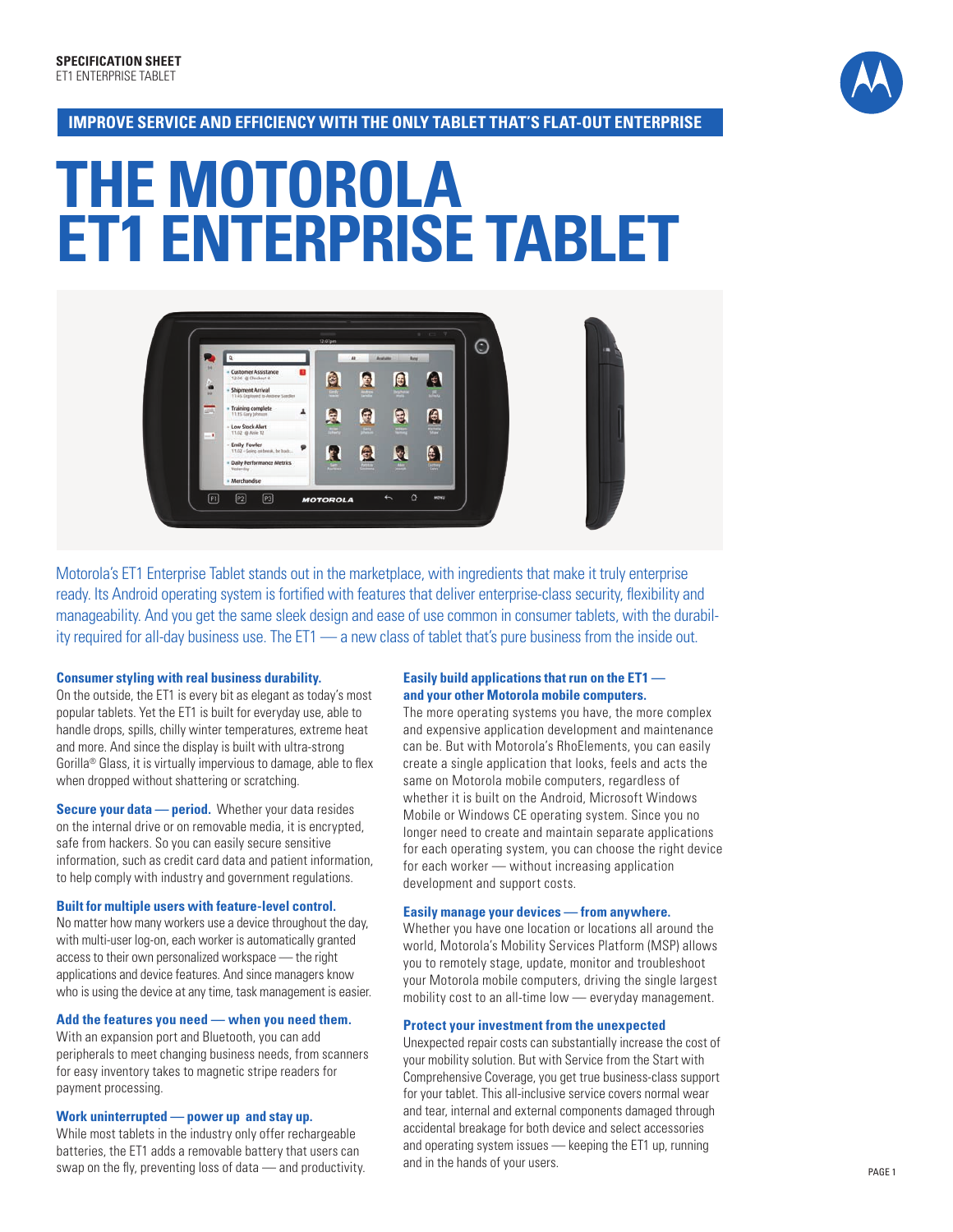

### **Improve se rvice and efficiency with the only tablet THAT 'S flat-out enterprise**

# **The Motorola et1 enterprise tablet**



Motorola's ET 1 Enterprise Tablet stands out in the marketplace, with ingredients that make it truly enterprise ready. Its Android operating system is fortified with features that deliver enterprise-class security, flexibility and manageability. And you get the same sleek design and ease of use common in consumer tablets, with the durability required for all-day business use. The ET 1 — a new class of tablet that's pure business from the inside out.

#### **Consumer styling with real business durability.**

On the outside, the ET1 is every bit as elegant as today's most popular tablets. Yet the ET1 is built for everyday use, able to handle drops, spills, chilly winter temperatures, extreme heat and more. And since the display is built with ultra-strong Gorilla® Glass, it is virtually impervious to damage, able to flex when dropped without shattering or scratching.

**Secure your data — period.** Whether your data resides on the internal drive or on removable media, it is encrypted, safe from hackers. So you can easily secure sensitive information, such as credit card data and patient information, to help comply with industry and government regulations.

#### **Built for multiple users with feature-level control.**

No matter how many workers use a device throughout the day, with multi-user log-on, each worker is automatically granted access to their own personalized workspace — the right applications and device features. And since managers know who is using the device at any time, task management is easier.

#### **Add the features you need — when you need them.**

With an expansion port and Bluetooth, you can add peripherals to meet changing business needs, from scanners for easy inventory takes to magnetic stripe readers for payment processing.

#### **Work uninterrupted — power up and stay up.**

While most tablets in the industry only offer rechargeable batteries, the ET1 adds a removable battery that users can swap on the fly, preventing loss of data — and productivity.

#### **Easily build applications that run on the ET1 and your other Motorola mobile computers.**

The more operating systems you have, the more complex and expensive application development and maintenance can be. But with Motorola's RhoElements, you can easily create a single application that looks, feels and acts the same on Motorola mobile computers, regardless of whether it is built on the Android, Microsoft Windows Mobile or Windows CE operating system. Since you no longer need to create and maintain separate applications for each operating system, you can choose the right device for each worker — without increasing application development and support costs.

#### **Easily manage your devices — from anywhere.**

Whether you have one location or locations all around the world, Motorola's Mobility Services Platform (MSP) allows you to remotely stage, update, monitor and troubleshoot your Motorola mobile computers, driving the single largest mobility cost to an all-time low — everyday management.

#### **Protect your investment from the unexpected**

Unexpected repair costs can substantially increase the cost of your mobility solution. But with Service from the Start with Comprehensive Coverage, you get true business-class support for your tablet. This all-inclusive service covers normal wear and tear, internal and external components damaged through accidental breakage for both device and select accessories and operating system issues  $-$  keeping the ET1 up, running and in the hands of your users.